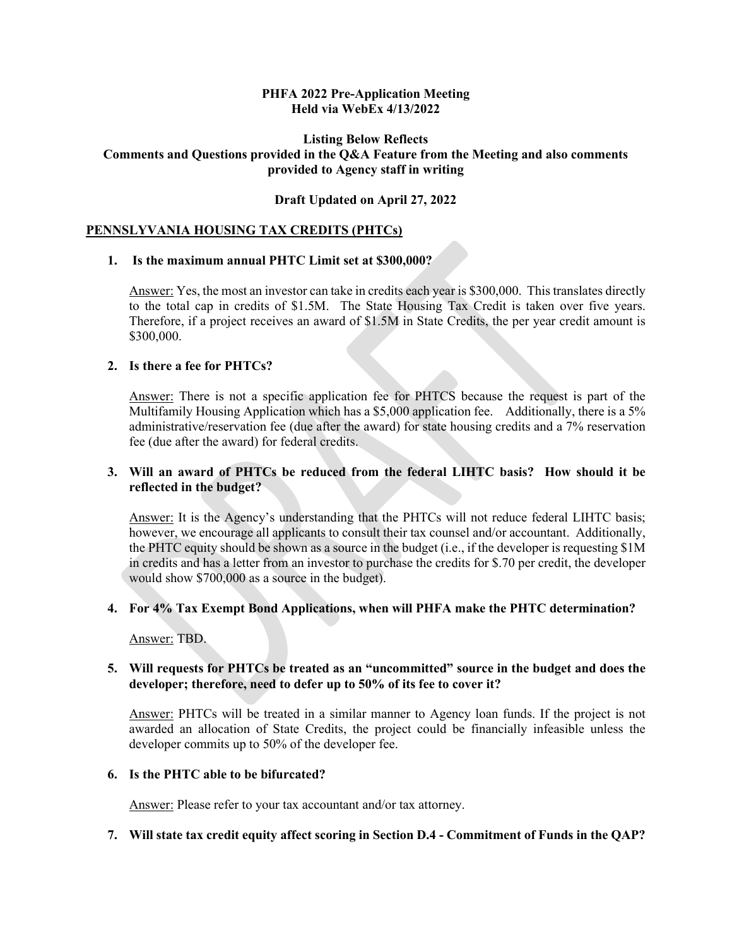#### **PHFA 2022 Pre-Application Meeting Held via WebEx 4/13/2022**

### **Listing Below Reflects Comments and Questions provided in the Q&A Feature from the Meeting and also comments provided to Agency staff in writing**

### **Draft Updated on April 27, 2022**

### **PENNSLYVANIA HOUSING TAX CREDITS (PHTCs)**

#### **1. Is the maximum annual PHTC Limit set at \$300,000?**

Answer: Yes, the most an investor can take in credits each year is \$300,000. This translates directly to the total cap in credits of \$1.5M. The State Housing Tax Credit is taken over five years. Therefore, if a project receives an award of \$1.5M in State Credits, the per year credit amount is \$300,000.

### **2. Is there a fee for PHTCs?**

Answer: There is not a specific application fee for PHTCS because the request is part of the Multifamily Housing Application which has a \$5,000 application fee. Additionally, there is a 5% administrative/reservation fee (due after the award) for state housing credits and a 7% reservation fee (due after the award) for federal credits.

# **3. Will an award of PHTCs be reduced from the federal LIHTC basis? How should it be reflected in the budget?**

Answer: It is the Agency's understanding that the PHTCs will not reduce federal LIHTC basis; however, we encourage all applicants to consult their tax counsel and/or accountant. Additionally, the PHTC equity should be shown as a source in the budget (i.e., if the developer is requesting \$1M in credits and has a letter from an investor to purchase the credits for \$.70 per credit, the developer would show \$700,000 as a source in the budget).

### **4. For 4% Tax Exempt Bond Applications, when will PHFA make the PHTC determination?**

Answer: TBD.

### **5. Will requests for PHTCs be treated as an "uncommitted" source in the budget and does the developer; therefore, need to defer up to 50% of its fee to cover it?**

Answer: PHTCs will be treated in a similar manner to Agency loan funds. If the project is not awarded an allocation of State Credits, the project could be financially infeasible unless the developer commits up to 50% of the developer fee.

#### **6. Is the PHTC able to be bifurcated?**

Answer: Please refer to your tax accountant and/or tax attorney.

### **7. Will state tax credit equity affect scoring in Section D.4 - Commitment of Funds in the QAP?**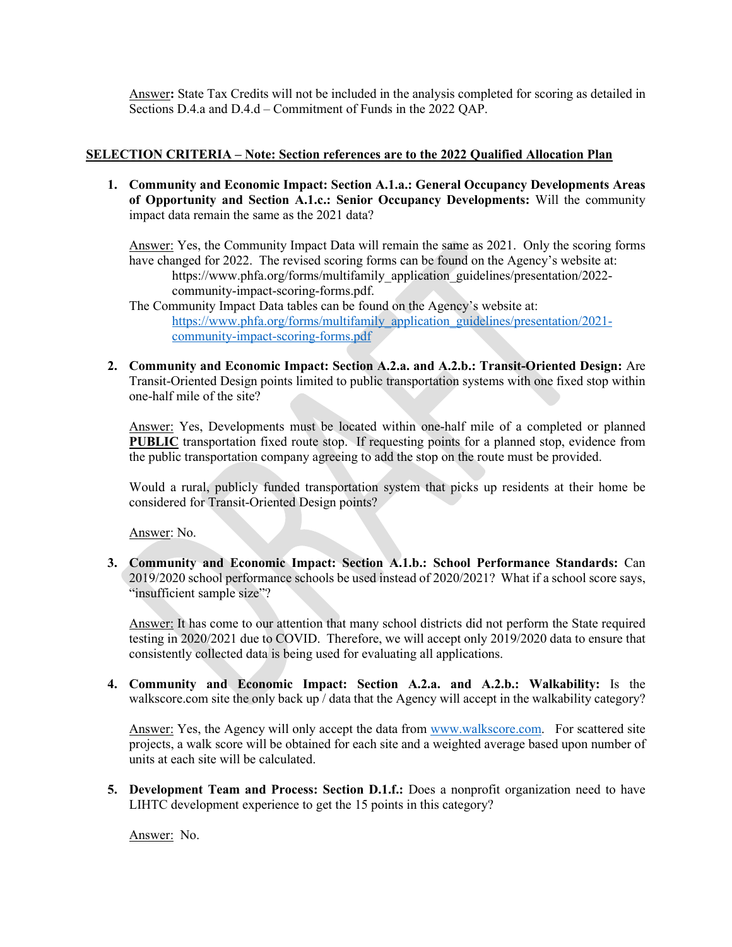Answer**:** State Tax Credits will not be included in the analysis completed for scoring as detailed in Sections D.4.a and D.4.d – Commitment of Funds in the 2022 QAP.

# **SELECTION CRITERIA – Note: Section references are to the 2022 Qualified Allocation Plan**

**1. Community and Economic Impact: Section A.1.a.: General Occupancy Developments Areas of Opportunity and Section A.1.c.: Senior Occupancy Developments:** Will the community impact data remain the same as the 2021 data?

Answer: Yes, the Community Impact Data will remain the same as 2021. Only the scoring forms have changed for 2022. The revised scoring forms can be found on the Agency's website at: https://www.phfa.org/forms/multifamily\_application\_guidelines/presentation/2022community-impact-scoring-forms.pdf.

The Community Impact Data tables can be found on the Agency's website at: [https://www.phfa.org/forms/multifamily\\_application\\_guidelines/presentation/2021](https://www.phfa.org/forms/multifamily_application_guidelines/presentation/2021-community-impact-scoring-forms.pdf) [community-impact-scoring-forms.pdf](https://www.phfa.org/forms/multifamily_application_guidelines/presentation/2021-community-impact-scoring-forms.pdf)

**2. Community and Economic Impact: Section A.2.a. and A.2.b.: Transit-Oriented Design:** Are Transit-Oriented Design points limited to public transportation systems with one fixed stop within one-half mile of the site?

Answer: Yes, Developments must be located within one-half mile of a completed or planned **PUBLIC** transportation fixed route stop. If requesting points for a planned stop, evidence from the public transportation company agreeing to add the stop on the route must be provided.

Would a rural, publicly funded transportation system that picks up residents at their home be considered for Transit-Oriented Design points?

Answer: No.

**3. Community and Economic Impact: Section A.1.b.: School Performance Standards:** Can 2019/2020 school performance schools be used instead of 2020/2021? What if a school score says, "insufficient sample size"?

Answer: It has come to our attention that many school districts did not perform the State required testing in 2020/2021 due to COVID. Therefore, we will accept only 2019/2020 data to ensure that consistently collected data is being used for evaluating all applications.

**4. Community and Economic Impact: Section A.2.a. and A.2.b.: Walkability:** Is the walkscore.com site the only back up / data that the Agency will accept in the walkability category?

Answer: Yes, the Agency will only accept the data from [www.walkscore.com.](http://www.walkscore.com/) For scattered site projects, a walk score will be obtained for each site and a weighted average based upon number of units at each site will be calculated.

**5. Development Team and Process: Section D.1.f.:** Does a nonprofit organization need to have LIHTC development experience to get the 15 points in this category?

Answer: No.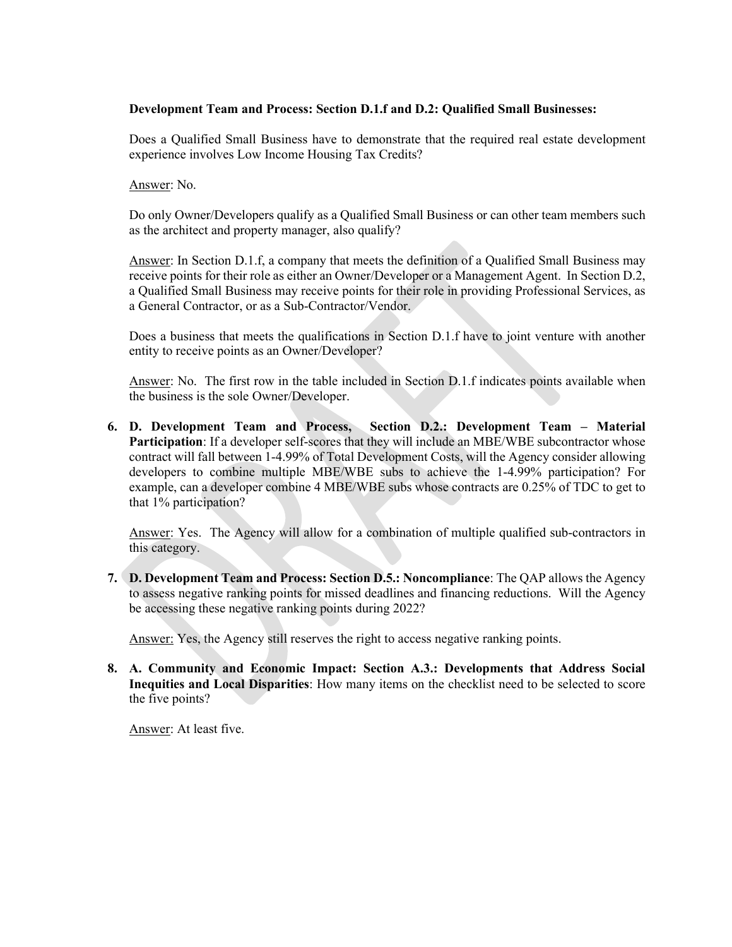### **Development Team and Process: Section D.1.f and D.2: Qualified Small Businesses:**

Does a Qualified Small Business have to demonstrate that the required real estate development experience involves Low Income Housing Tax Credits?

Answer: No.

Do only Owner/Developers qualify as a Qualified Small Business or can other team members such as the architect and property manager, also qualify?

Answer: In Section D.1.f, a company that meets the definition of a Qualified Small Business may receive points for their role as either an Owner/Developer or a Management Agent. In Section D.2, a Qualified Small Business may receive points for their role in providing Professional Services, as a General Contractor, or as a Sub-Contractor/Vendor.

Does a business that meets the qualifications in Section D.1.f have to joint venture with another entity to receive points as an Owner/Developer?

Answer: No. The first row in the table included in Section D.1.f indicates points available when the business is the sole Owner/Developer.

**6. D. Development Team and Process, Section D.2.: Development Team – Material Participation**: If a developer self-scores that they will include an MBE/WBE subcontractor whose contract will fall between 1-4.99% of Total Development Costs, will the Agency consider allowing developers to combine multiple MBE/WBE subs to achieve the 1-4.99% participation? For example, can a developer combine 4 MBE/WBE subs whose contracts are 0.25% of TDC to get to that 1% participation?

Answer: Yes. The Agency will allow for a combination of multiple qualified sub-contractors in this category.

**7. D. Development Team and Process: Section D.5.: Noncompliance**: The QAP allows the Agency to assess negative ranking points for missed deadlines and financing reductions. Will the Agency be accessing these negative ranking points during 2022?

Answer: Yes, the Agency still reserves the right to access negative ranking points.

**8. A. Community and Economic Impact: Section A.3.: Developments that Address Social Inequities and Local Disparities**: How many items on the checklist need to be selected to score the five points?

Answer: At least five.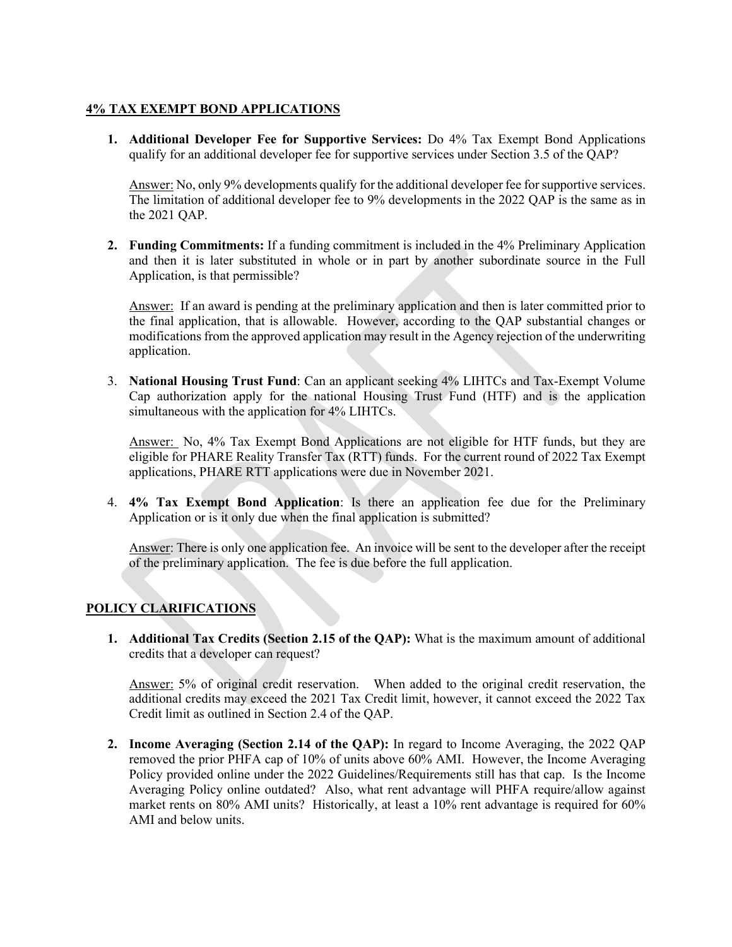# **4% TAX EXEMPT BOND APPLICATIONS**

**1. Additional Developer Fee for Supportive Services:** Do 4% Tax Exempt Bond Applications qualify for an additional developer fee for supportive services under Section 3.5 of the QAP?

Answer: No, only 9% developments qualify for the additional developer fee for supportive services. The limitation of additional developer fee to 9% developments in the 2022 QAP is the same as in the 2021 QAP.

**2. Funding Commitments:** If a funding commitment is included in the 4% Preliminary Application and then it is later substituted in whole or in part by another subordinate source in the Full Application, is that permissible?

Answer: If an award is pending at the preliminary application and then is later committed prior to the final application, that is allowable. However, according to the QAP substantial changes or modifications from the approved application may result in the Agency rejection of the underwriting application.

3. **National Housing Trust Fund**: Can an applicant seeking 4% LIHTCs and Tax-Exempt Volume Cap authorization apply for the national Housing Trust Fund (HTF) and is the application simultaneous with the application for 4% LIHTCs.

Answer: No, 4% Tax Exempt Bond Applications are not eligible for HTF funds, but they are eligible for PHARE Reality Transfer Tax (RTT) funds. For the current round of 2022 Tax Exempt applications, PHARE RTT applications were due in November 2021.

4. **4% Tax Exempt Bond Application**: Is there an application fee due for the Preliminary Application or is it only due when the final application is submitted?

Answer: There is only one application fee. An invoice will be sent to the developer after the receipt of the preliminary application. The fee is due before the full application.

# **POLICY CLARIFICATIONS**

**1. Additional Tax Credits (Section 2.15 of the QAP):** What is the maximum amount of additional credits that a developer can request?

Answer: 5% of original credit reservation. When added to the original credit reservation, the additional credits may exceed the 2021 Tax Credit limit, however, it cannot exceed the 2022 Tax Credit limit as outlined in Section 2.4 of the QAP.

**2. Income Averaging (Section 2.14 of the QAP):** In regard to Income Averaging, the 2022 QAP removed the prior PHFA cap of 10% of units above 60% AMI. However, the Income Averaging Policy provided online under the 2022 Guidelines/Requirements still has that cap. Is the Income Averaging Policy online outdated? Also, what rent advantage will PHFA require/allow against market rents on 80% AMI units? Historically, at least a 10% rent advantage is required for 60% AMI and below units.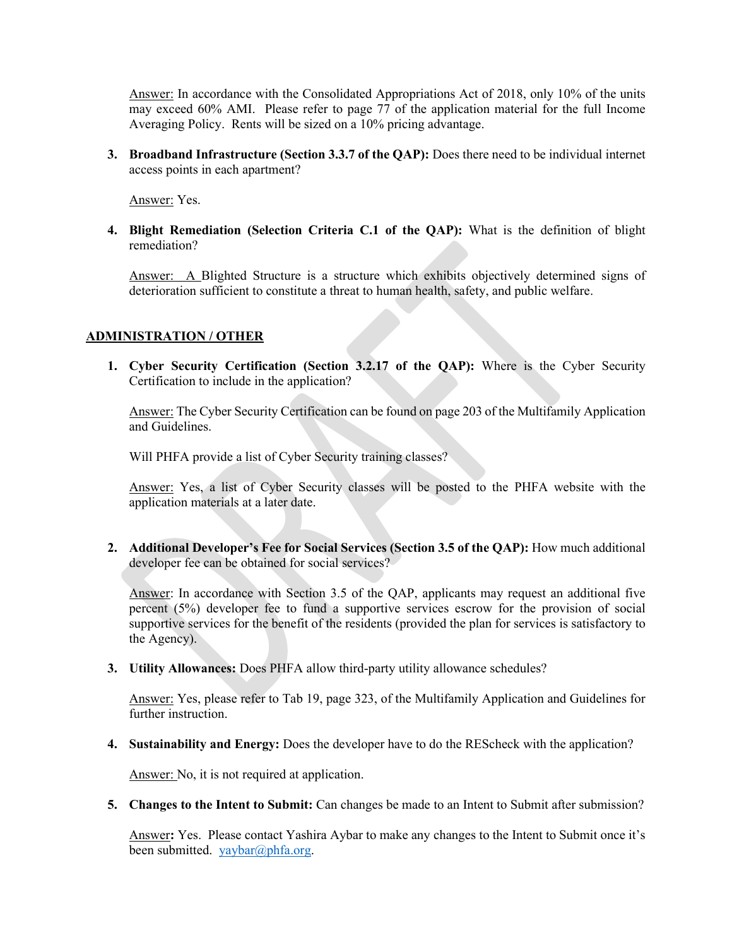Answer: In accordance with the Consolidated Appropriations Act of 2018, only 10% of the units may exceed 60% AMI. Please refer to page 77 of the application material for the full Income Averaging Policy. Rents will be sized on a 10% pricing advantage.

**3. Broadband Infrastructure (Section 3.3.7 of the QAP):** Does there need to be individual internet access points in each apartment?

Answer: Yes.

**4. Blight Remediation (Selection Criteria C.1 of the QAP):** What is the definition of blight remediation?

Answer: A Blighted Structure is a structure which exhibits objectively determined signs of deterioration sufficient to constitute a threat to human health, safety, and public welfare.

#### **ADMINISTRATION / OTHER**

**1. Cyber Security Certification (Section 3.2.17 of the QAP):** Where is the Cyber Security Certification to include in the application?

Answer: The Cyber Security Certification can be found on page 203 of the Multifamily Application and Guidelines.

Will PHFA provide a list of Cyber Security training classes?

Answer: Yes, a list of Cyber Security classes will be posted to the PHFA website with the application materials at a later date.

**2. Additional Developer's Fee for Social Services (Section 3.5 of the QAP):** How much additional developer fee can be obtained for social services?

Answer: In accordance with Section 3.5 of the QAP, applicants may request an additional five percent (5%) developer fee to fund a supportive services escrow for the provision of social supportive services for the benefit of the residents (provided the plan for services is satisfactory to the Agency).

**3. Utility Allowances:** Does PHFA allow third-party utility allowance schedules?

Answer: Yes, please refer to Tab 19, page 323, of the Multifamily Application and Guidelines for further instruction.

**4. Sustainability and Energy:** Does the developer have to do the REScheck with the application?

Answer: No, it is not required at application.

**5. Changes to the Intent to Submit:** Can changes be made to an Intent to Submit after submission?

Answer**:** Yes.Please contact Yashira Aybar to make any changes to the Intent to Submit once it's been submitted. [yaybar@phfa.org.](mailto:yaybar@phfa.org)